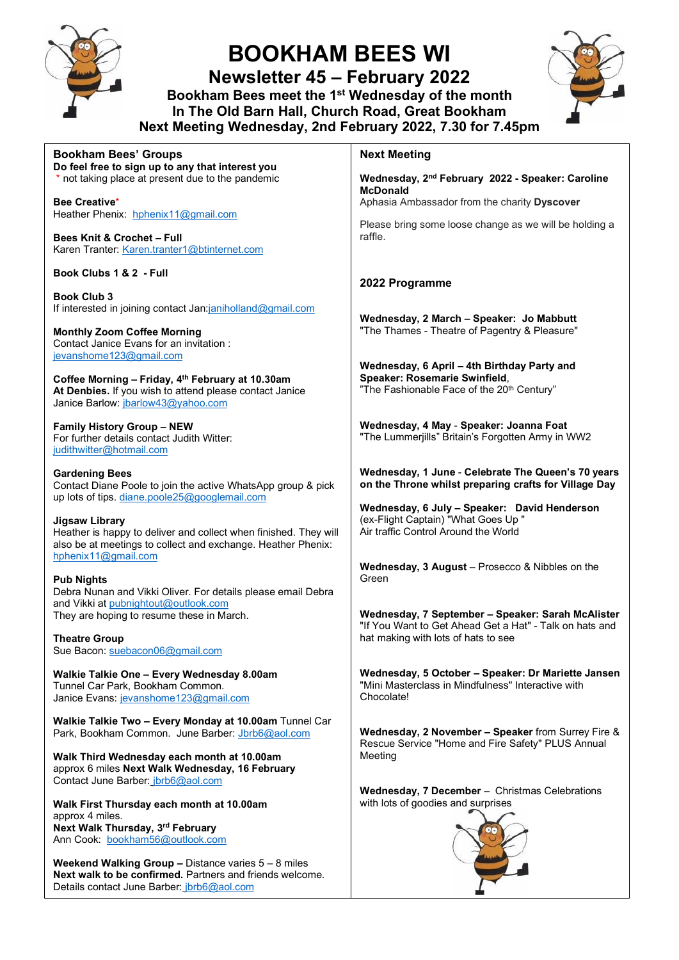

Ann Cook: [bookham56@outlook.com](mailto:bookham56@outlook.com)

Details contact June Barber: [jbrb6@aol.com](mailto:jbrb6@aol.com)

**Weekend Walking Group –** Distance varies 5 – 8 miles **Next walk to be confirmed.** Partners and friends welcome.

# **BOOKHAM BEES WI**

**Newsletter 45 – February 2022** 

**Bookham Bees meet the 1st Wednesday of the month In The Old Barn Hall, Church Road, Great Bookham Next Meeting Wednesday, 2nd February 2022, 7.30 for 7.45pm**



| <b>Bookham Bees' Groups</b>                                                                                                                                                                                 | <b>Next Meeting</b>                                                                                                                                         |
|-------------------------------------------------------------------------------------------------------------------------------------------------------------------------------------------------------------|-------------------------------------------------------------------------------------------------------------------------------------------------------------|
| Do feel free to sign up to any that interest you<br>* not taking place at present due to the pandemic<br><b>Bee Creative*</b>                                                                               | Wednesday, 2nd February 2022 - Speaker: Caroline<br><b>McDonald</b><br>Aphasia Ambassador from the charity Dyscover                                         |
| Heather Phenix: hphenix11@gmail.com<br><b>Bees Knit &amp; Crochet - Full</b><br>Karen Tranter: Karen.tranter1@btinternet.com                                                                                | Please bring some loose change as we will be holding a<br>raffle.                                                                                           |
| Book Clubs 1 & 2 - Full                                                                                                                                                                                     | 2022 Programme                                                                                                                                              |
| <b>Book Club 3</b><br>If interested in joining contact Jan:janiholland@gmail.com<br><b>Monthly Zoom Coffee Morning</b><br>Contact Janice Evans for an invitation :                                          | Wednesday, 2 March - Speaker: Jo Mabbutt<br>"The Thames - Theatre of Pagentry & Pleasure"                                                                   |
| jevanshome123@gmail.com<br>Coffee Morning - Friday, 4th February at 10.30am<br>At Denbies. If you wish to attend please contact Janice<br>Janice Barlow: jbarlow43@yahoo.com                                | Wednesday, 6 April - 4th Birthday Party and<br>Speaker: Rosemarie Swinfield,<br>"The Fashionable Face of the 20th Century"                                  |
| <b>Family History Group - NEW</b><br>For further details contact Judith Witter:<br>judithwitter@hotmail.com                                                                                                 | Wednesday, 4 May - Speaker: Joanna Foat<br>"The Lummerjills" Britain's Forgotten Army in WW2                                                                |
| <b>Gardening Bees</b><br>Contact Diane Poole to join the active WhatsApp group & pick<br>up lots of tips. diane.poole25@googlemail.com                                                                      | Wednesday, 1 June - Celebrate The Queen's 70 years<br>on the Throne whilst preparing crafts for Village Day<br>Wednesday, 6 July - Speaker: David Henderson |
| <b>Jigsaw Library</b><br>Heather is happy to deliver and collect when finished. They will<br>also be at meetings to collect and exchange. Heather Phenix:<br>hphenix11@gmail.com                            | (ex-Flight Captain) "What Goes Up"<br>Air traffic Control Around the World                                                                                  |
| <b>Pub Nights</b><br>Debra Nunan and Vikki Oliver. For details please email Debra                                                                                                                           | Wednesday, 3 August - Prosecco & Nibbles on the<br>Green                                                                                                    |
| and Vikki at pubnightout@outlook.com<br>They are hoping to resume these in March.<br><b>Theatre Group</b><br>Sue Bacon: suebacon06@gmail.com                                                                | Wednesday, 7 September - Speaker: Sarah McAlister<br>"If You Want to Get Ahead Get a Hat" - Talk on hats and<br>hat making with lots of hats to see         |
| Walkie Talkie One - Every Wednesday 8.00am<br>Tunnel Car Park, Bookham Common.<br>Janice Evans: jevanshome123@gmail.com                                                                                     | Wednesday, 5 October - Speaker: Dr Mariette Jansen<br>"Mini Masterclass in Mindfulness" Interactive with<br>Chocolate!                                      |
| Walkie Talkie Two - Every Monday at 10.00am Tunnel Car<br>Park, Bookham Common. June Barber: Jbrb6@aol.com<br>Walk Third Wednesday each month at 10.00am<br>approx 6 miles Next Walk Wednesday, 16 February | Wednesday, 2 November - Speaker from Surrey Fire &<br>Rescue Service "Home and Fire Safety" PLUS Annual<br>Meeting                                          |
| Contact June Barber: jbrb6@aol.com<br>Walk First Thursday each month at 10.00am<br>approx 4 miles.                                                                                                          | Wednesday, 7 December - Christmas Celebrations<br>with lots of goodies and surprises                                                                        |
| Next Walk Thursday, 3rd February                                                                                                                                                                            |                                                                                                                                                             |